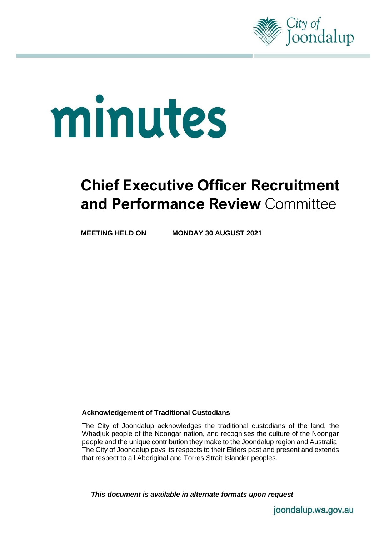

# minutes

# **Chief Executive Officer Recruitment and Performance Review** Committee

**MEETING HELD ON MONDAY 30 AUGUST 2021**

#### **Acknowledgement of Traditional Custodians**

The City of Joondalup acknowledges the traditional custodians of the land, the Whadjuk people of the Noongar nation, and recognises the culture of the Noongar people and the unique contribution they make to the Joondalup region and Australia. The City of Joondalup pays its respects to their Elders past and present and extends that respect to all Aboriginal and Torres Strait Islander peoples.

*This document is available in alternate formats upon request*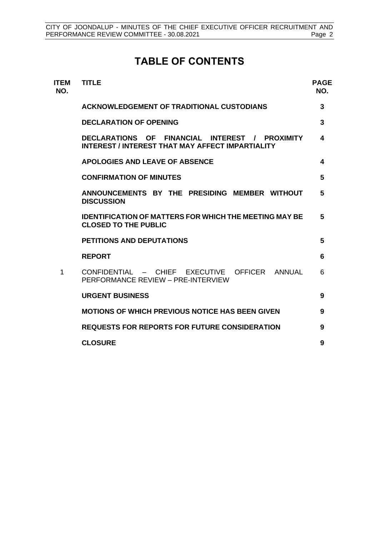# **TABLE OF CONTENTS**

| <b>ITEM</b><br>NO. | <b>TITLE</b>                                                                                                              | <b>PAGE</b><br>NO. |
|--------------------|---------------------------------------------------------------------------------------------------------------------------|--------------------|
|                    | <b>ACKNOWLEDGEMENT OF TRADITIONAL CUSTODIANS</b>                                                                          | 3                  |
|                    | <b>DECLARATION OF OPENING</b>                                                                                             | 3                  |
|                    | FINANCIAL<br><b>DECLARATIONS OF</b><br>INTEREST /<br><b>PROXIMITY</b><br>INTEREST / INTEREST THAT MAY AFFECT IMPARTIALITY | 4                  |
|                    | <b>APOLOGIES AND LEAVE OF ABSENCE</b>                                                                                     | 4                  |
|                    | <b>CONFIRMATION OF MINUTES</b>                                                                                            | 5                  |
|                    | ANNOUNCEMENTS BY THE PRESIDING MEMBER WITHOUT<br><b>DISCUSSION</b>                                                        | 5                  |
|                    | <b>IDENTIFICATION OF MATTERS FOR WHICH THE MEETING MAY BE</b><br><b>CLOSED TO THE PUBLIC</b>                              | 5                  |
|                    | <b>PETITIONS AND DEPUTATIONS</b>                                                                                          | 5                  |
|                    | <b>REPORT</b>                                                                                                             | 6                  |
| 1                  | CONFIDENTIAL - CHIEF EXECUTIVE OFFICER ANNUAL<br>PERFORMANCE REVIEW - PRE-INTERVIEW                                       | 6                  |
|                    | <b>URGENT BUSINESS</b>                                                                                                    | 9                  |
|                    | <b>MOTIONS OF WHICH PREVIOUS NOTICE HAS BEEN GIVEN</b>                                                                    | 9                  |
|                    | <b>REQUESTS FOR REPORTS FOR FUTURE CONSIDERATION</b>                                                                      | 9                  |
|                    | <b>CLOSURE</b>                                                                                                            | 9                  |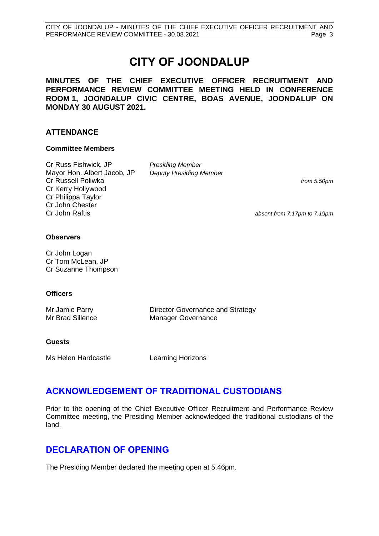# **CITY OF JOONDALUP**

**MINUTES OF THE CHIEF EXECUTIVE OFFICER RECRUITMENT AND PERFORMANCE REVIEW COMMITTEE MEETING HELD IN CONFERENCE ROOM 1, JOONDALUP CIVIC CENTRE, BOAS AVENUE, JOONDALUP ON MONDAY 30 AUGUST 2021.**

#### **ATTENDANCE**

#### **Committee Members**

Cr Russ Fishwick, JP Mayor Hon. Albert Jacob, JP Cr Russell Poliwka Cr Kerry Hollywood Cr Philippa Taylor Cr John Chester Cr John Raftis

*Presiding Member Deputy Presiding Member*

*from 5.50pm*

*absent from 7.17pm to 7.19pm*

#### **Observers**

Cr John Logan Cr Tom McLean, JP Cr Suzanne Thompson

#### **Officers**

Mr Jamie Parry Mr Brad Sillence Director Governance and Strategy Manager Governance

#### **Guests**

Ms Helen Hardcastle **Learning Horizons** 

# <span id="page-2-0"></span>**ACKNOWLEDGEMENT OF TRADITIONAL CUSTODIANS**

Prior to the opening of the Chief Executive Officer Recruitment and Performance Review Committee meeting, the Presiding Member acknowledged the traditional custodians of the land.

# <span id="page-2-1"></span>**DECLARATION OF OPENING**

The Presiding Member declared the meeting open at 5.46pm.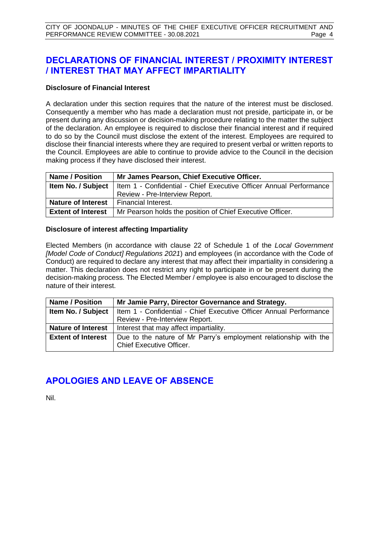# <span id="page-3-0"></span>**DECLARATIONS OF FINANCIAL INTEREST / PROXIMITY INTEREST / INTEREST THAT MAY AFFECT IMPARTIALITY**

#### **Disclosure of Financial Interest**

A declaration under this section requires that the nature of the interest must be disclosed. Consequently a member who has made a declaration must not preside, participate in, or be present during any discussion or decision-making procedure relating to the matter the subject of the declaration. An employee is required to disclose their financial interest and if required to do so by the Council must disclose the extent of the interest. Employees are required to disclose their financial interests where they are required to present verbal or written reports to the Council. Employees are able to continue to provide advice to the Council in the decision making process if they have disclosed their interest.

| <b>Name / Position</b>    | Mr James Pearson, Chief Executive Officer.                         |  |  |
|---------------------------|--------------------------------------------------------------------|--|--|
| Item No. / Subject        | Item 1 - Confidential - Chief Executive Officer Annual Performance |  |  |
|                           | Review - Pre-Interview Report.                                     |  |  |
| <b>Nature of Interest</b> | l Financial Interest.                                              |  |  |
| <b>Extent of Interest</b> | Mr Pearson holds the position of Chief Executive Officer.          |  |  |

#### **Disclosure of interest affecting Impartiality**

Elected Members (in accordance with clause 22 of Schedule 1 of the *Local Government [Model Code of Conduct] Regulations 2021*) and employees (in accordance with the Code of Conduct) are required to declare any interest that may affect their impartiality in considering a matter. This declaration does not restrict any right to participate in or be present during the decision-making process. The Elected Member / employee is also encouraged to disclose the nature of their interest.

| <b>Name / Position</b>     | Mr Jamie Parry, Director Governance and Strategy.                  |  |
|----------------------------|--------------------------------------------------------------------|--|
| Item No. / Subject $\vert$ | Item 1 - Confidential - Chief Executive Officer Annual Performance |  |
|                            | Review - Pre-Interview Report.                                     |  |
| <b>Nature of Interest</b>  | Interest that may affect impartiality.                             |  |
| <b>Extent of Interest</b>  | Due to the nature of Mr Parry's employment relationship with the   |  |
|                            | <b>Chief Executive Officer.</b>                                    |  |

# <span id="page-3-1"></span>**APOLOGIES AND LEAVE OF ABSENCE**

Nil.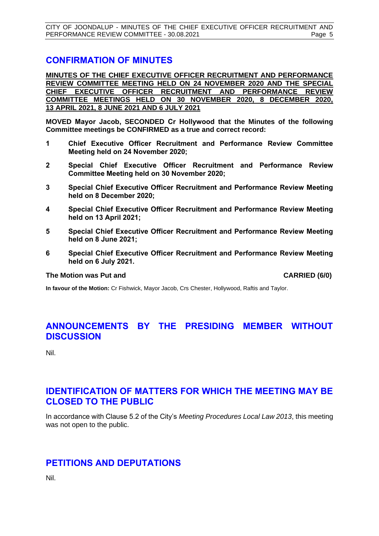CITY OF JOONDALUP - MINUTES OF THE CHIEF EXECUTIVE OFFICER RECRUITMENT AND PERFORMANCE REVIEW COMMITTEE - 30.08.2021 Page 5

#### <span id="page-4-0"></span>**CONFIRMATION OF MINUTES**

**MINUTES OF THE CHIEF EXECUTIVE OFFICER RECRUITMENT AND PERFORMANCE REVIEW COMMITTEE MEETING HELD ON 24 NOVEMBER 2020 AND THE SPECIAL CHIEF EXECUTIVE OFFICER RECRUITMENT AND PERFORMANCE REVIEW COMMITTEE MEETINGS HELD ON 30 NOVEMBER 2020, 8 DECEMBER 2020, 13 APRIL 2021, 8 JUNE 2021 AND 6 JULY 2021**

**MOVED Mayor Jacob, SECONDED Cr Hollywood that the Minutes of the following Committee meetings be CONFIRMED as a true and correct record:**

- **1 Chief Executive Officer Recruitment and Performance Review Committee Meeting held on 24 November 2020;**
- **2 Special Chief Executive Officer Recruitment and Performance Review Committee Meeting held on 30 November 2020;**
- **3 Special Chief Executive Officer Recruitment and Performance Review Meeting held on 8 December 2020;**
- **4 Special Chief Executive Officer Recruitment and Performance Review Meeting held on 13 April 2021;**
- **5 Special Chief Executive Officer Recruitment and Performance Review Meeting held on 8 June 2021;**
- **6 Special Chief Executive Officer Recruitment and Performance Review Meeting held on 6 July 2021.**

#### **The Motion was Put and CARRIED (6/0)**

**In favour of the Motion:** Cr Fishwick, Mayor Jacob, Crs Chester, Hollywood, Raftis and Taylor.

### <span id="page-4-1"></span>**ANNOUNCEMENTS BY THE PRESIDING MEMBER WITHOUT DISCUSSION**

Nil.

# <span id="page-4-2"></span>**IDENTIFICATION OF MATTERS FOR WHICH THE MEETING MAY BE CLOSED TO THE PUBLIC**

In accordance with Clause 5.2 of the City's *Meeting Procedures Local Law 2013*, this meeting was not open to the public.

#### <span id="page-4-3"></span>**PETITIONS AND DEPUTATIONS**

Nil.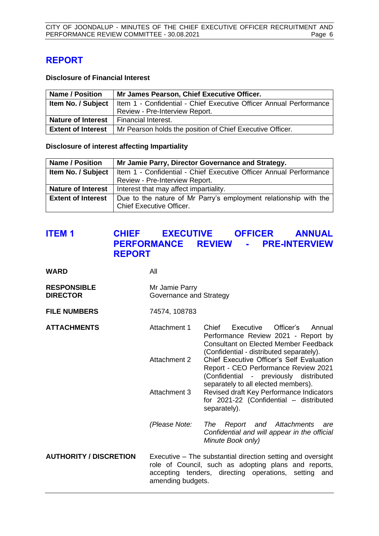# <span id="page-5-0"></span>**REPORT**

#### **Disclosure of Financial Interest**

| <b>Name / Position</b>                          | Mr James Pearson, Chief Executive Officer.                                                     |  |
|-------------------------------------------------|------------------------------------------------------------------------------------------------|--|
|                                                 | <b>Item No. / Subject</b>   Item 1 - Confidential - Chief Executive Officer Annual Performance |  |
|                                                 | Review - Pre-Interview Report.                                                                 |  |
| <b>Nature of Interest</b>   Financial Interest. |                                                                                                |  |
| <b>Extent of Interest</b>                       | Mr Pearson holds the position of Chief Executive Officer.                                      |  |

**Disclosure of interest affecting Impartiality**

| <b>Name / Position</b>    | Mr Jamie Parry, Director Governance and Strategy.                                                   |  |
|---------------------------|-----------------------------------------------------------------------------------------------------|--|
| Item No. / Subject        | Item 1 - Confidential - Chief Executive Officer Annual Performance                                  |  |
|                           | Review - Pre-Interview Report.                                                                      |  |
| <b>Nature of Interest</b> | Interest that may affect impartiality.                                                              |  |
| <b>Extent of Interest</b> | Due to the nature of Mr Parry's employment relationship with the<br><b>Chief Executive Officer.</b> |  |

# <span id="page-5-1"></span>**ITEM 1 CHIEF EXECUTIVE OFFICER ANNUAL PERFORMANCE REVIEW - PRE-INTERVIEW REPORT**

| <b>WARD</b>                           | All                                                                                                                                                                                                 |                                                                                                                                                                              |  |
|---------------------------------------|-----------------------------------------------------------------------------------------------------------------------------------------------------------------------------------------------------|------------------------------------------------------------------------------------------------------------------------------------------------------------------------------|--|
| <b>RESPONSIBLE</b><br><b>DIRECTOR</b> | Mr Jamie Parry<br>Governance and Strategy                                                                                                                                                           |                                                                                                                                                                              |  |
| <b>FILE NUMBERS</b>                   | 74574, 108783                                                                                                                                                                                       |                                                                                                                                                                              |  |
| <b>ATTACHMENTS</b>                    | Attachment 1                                                                                                                                                                                        | Chief<br>Executive<br>Officer's<br>Annual<br>Performance Review 2021 - Report by<br><b>Consultant on Elected Member Feedback</b><br>(Confidential - distributed separately). |  |
|                                       | Attachment 2                                                                                                                                                                                        | Chief Executive Officer's Self Evaluation<br>Report - CEO Performance Review 2021<br>(Confidential - previously distributed<br>separately to all elected members).           |  |
|                                       | Attachment 3                                                                                                                                                                                        | Revised draft Key Performance Indicators<br>for 2021-22 (Confidential - distributed<br>separately).                                                                          |  |
|                                       | (Please Note:                                                                                                                                                                                       | Report and Attachments<br>The<br>are<br>Confidential and will appear in the official<br>Minute Book only)                                                                    |  |
| <b>AUTHORITY / DISCRETION</b>         | Executive – The substantial direction setting and oversight<br>role of Council, such as adopting plans and reports,<br>accepting tenders, directing operations, setting<br>and<br>amending budgets. |                                                                                                                                                                              |  |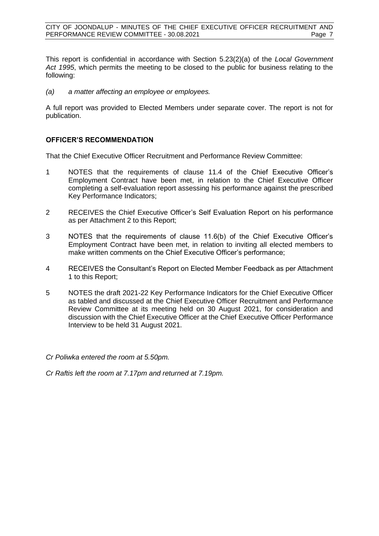CITY OF JOONDALUP - MINUTES OF THE CHIEF EXECUTIVE OFFICER RECRUITMENT AND PERFORMANCE REVIEW COMMITTEE - 30.08.2021 Page 7

This report is confidential in accordance with Section 5.23(2)(a) of the *Local Government Act 1995*, which permits the meeting to be closed to the public for business relating to the following:

*(a) a matter affecting an employee or employees.*

A full report was provided to Elected Members under separate cover. The report is not for publication.

#### **OFFICER'S RECOMMENDATION**

That the Chief Executive Officer Recruitment and Performance Review Committee:

- 1 NOTES that the requirements of clause 11.4 of the Chief Executive Officer's Employment Contract have been met, in relation to the Chief Executive Officer completing a self-evaluation report assessing his performance against the prescribed Key Performance Indicators;
- 2 RECEIVES the Chief Executive Officer's Self Evaluation Report on his performance as per Attachment 2 to this Report;
- 3 NOTES that the requirements of clause 11.6(b) of the Chief Executive Officer's Employment Contract have been met, in relation to inviting all elected members to make written comments on the Chief Executive Officer's performance;
- 4 RECEIVES the Consultant's Report on Elected Member Feedback as per Attachment 1 to this Report;
- 5 NOTES the draft 2021-22 Key Performance Indicators for the Chief Executive Officer as tabled and discussed at the Chief Executive Officer Recruitment and Performance Review Committee at its meeting held on 30 August 2021, for consideration and discussion with the Chief Executive Officer at the Chief Executive Officer Performance Interview to be held 31 August 2021.
- *Cr Poliwka entered the room at 5.50pm.*

*Cr Raftis left the room at 7.17pm and returned at 7.19pm.*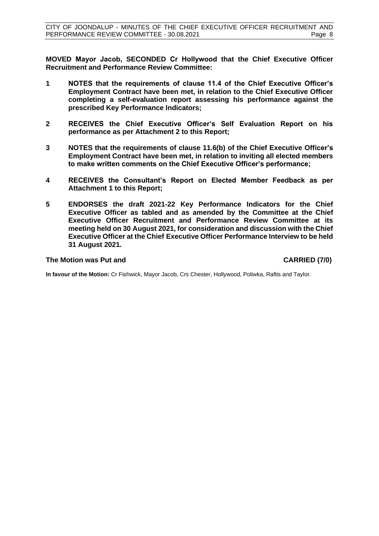**MOVED Mayor Jacob, SECONDED Cr Hollywood that the Chief Executive Officer Recruitment and Performance Review Committee:**

- **1 NOTES that the requirements of clause 11.4 of the Chief Executive Officer's Employment Contract have been met, in relation to the Chief Executive Officer completing a self-evaluation report assessing his performance against the prescribed Key Performance Indicators;**
- **2 RECEIVES the Chief Executive Officer's Self Evaluation Report on his performance as per Attachment 2 to this Report;**
- **3 NOTES that the requirements of clause 11.6(b) of the Chief Executive Officer's Employment Contract have been met, in relation to inviting all elected members to make written comments on the Chief Executive Officer's performance;**
- **4 RECEIVES the Consultant's Report on Elected Member Feedback as per Attachment 1 to this Report;**
- **5 ENDORSES the draft 2021-22 Key Performance Indicators for the Chief Executive Officer as tabled and as amended by the Committee at the Chief Executive Officer Recruitment and Performance Review Committee at its meeting held on 30 August 2021, for consideration and discussion with the Chief Executive Officer at the Chief Executive Officer Performance Interview to be held 31 August 2021.**

#### **The Motion was Put and CARRIED (7/0)**

**In favour of the Motion:** Cr Fishwick, Mayor Jacob, Crs Chester, Hollywood, Poliwka, Raftis and Taylor.